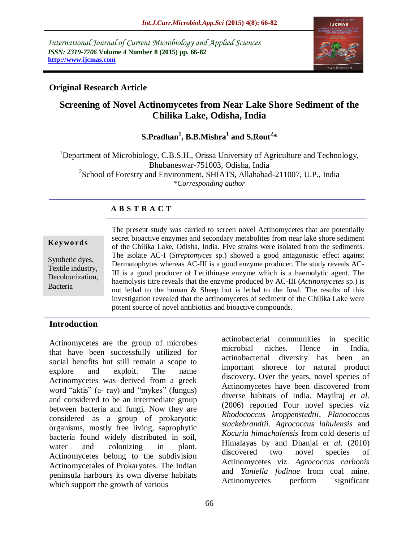*International Journal of Current Microbiology and Applied Sciences ISSN: 2319-7706* **Volume 4 Number 8 (2015) pp. 66-82 http://www.ijcmas.com** 



## **Original Research Article**

# **Screening of Novel Actinomycetes from Near Lake Shore Sediment of the Chilika Lake, Odisha, India**

**S.Pradhan<sup>1</sup> , B.B.Mishra<sup>1</sup> and S.Rout<sup>2</sup> \*** 

<sup>1</sup>Department of Microbiology, C.B.S.H., Orissa University of Agriculture and Technology, Bhubaneswar-751003, Odisha, India <sup>2</sup>School of Forestry and Environment, SHIATS, Allahabad-211007, U.P., India *\*Corresponding author*

## **A B S T R A C T**

#### **K ey w o rd s**

Synthetic dyes, Textile industry, Decolourization, Bacteria

The present study was carried to screen novel Actinomycetes that are potentially secret bioactive enzymes and secondary metabolites from near lake shore sediment of the Chilika Lake, Odisha, India. Five strains were isolated from the sediments. The isolate AC-I (*Streptomyces* sp.) showed a good antagonistic effect against Dermatophytes whereas AC-III is a good enzyme producer. The study reveals AC-III is a good producer of Lecithinase enzyme which is a haemolytic agent. The haemolysis titre reveals that the enzyme produced by AC-III (*Actinomycetes* sp.) is not lethal to the human & Sheep but is lethal to the fowl. The results of this investigation revealed that the actinomycetes of sediment of the Chilika Lake were potent source of novel antibiotics and bioactive compounds.

### **Introduction**

Actinomycetes are the group of microbes that have been successfully utilized for social benefits but still remain a scope to explore and exploit. The name Actinomycetes was derived from a greek word "aktis" (a- ray) and "mykes" (fungus) and considered to be an intermediate group between bacteria and fungi, Now they are considered as a group of prokaryotic organisms, mostly free living, saprophytic bacteria found widely distributed in soil, water and colonizing in plant. Actinomycetes belong to the subdivision Actinomycetales of Prokaryotes. The Indian peninsula harbours its own diverse habitats which support the growth of various

actinobacterial communities in specific microbial niches. Hence in India, actinobacterial diversity has been an important shorece for natural product discovery. Over the years, novel species of Actinomycetes have been discovered from diverse habitats of India. Mayilraj *et al*. (2006) reported Four novel species viz *Rhodococcus kroppenstedtii*, *Planococcus stackebrandtii*. *Agrococcus lahulensis* and *Kocuria himachalensis* from cold deserts of Himalayas by and Dhanjal *et al*. (2010) discovered two novel species of Actinomycetes viz. *Agrococcus carbonis*  and *Yaniella fodinae* from coal mine. Actinomycetes perform significant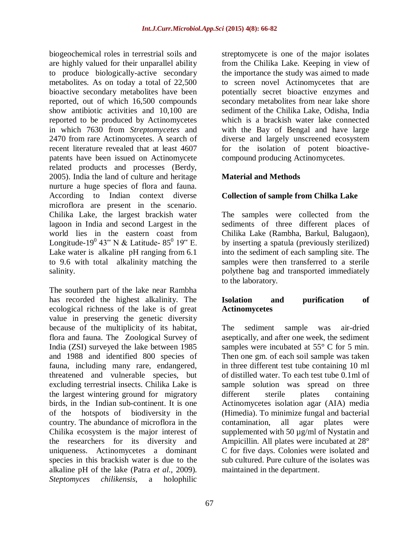biogeochemical roles in terrestrial soils and are highly valued for their unparallel ability to produce biologically-active secondary metabolites. As on today a total of 22,500 bioactive secondary metabolites have been reported, out of which 16,500 compounds show antibiotic activities and 10,100 are reported to be produced by Actinomycetes in which 7630 from *Streptomycetes* and 2470 from rare Actinomycetes. A search of recent literature revealed that at least 4607 patents have been issued on Actinomycete related products and processes (Berdy, 2005). India the land of culture and heritage nurture a huge species of flora and fauna. According to Indian context diverse microflora are present in the scenario. Chilika Lake, the largest brackish water lagoon in India and second Largest in the world lies in the eastern coast from Longitude-19<sup>0</sup> 43" N & Latitude- 85<sup>0</sup> 19" E. Lake water is [alkaline](http://en.wikipedia.org/wiki/Alkaline) [pH](http://en.wikipedia.org/wiki/PH) ranging from 6.1 to 9.6 with total [alkalinity](http://en.wikipedia.org/wiki/Alkalinity) matching the [salinity.](http://en.wikipedia.org/wiki/Salinity)

The southern part of the lake near Rambha has recorded the highest alkalinity. The ecological richness of the lake is of great value in preserving the genetic diversity because of the multiplicity of its habitat, flora and fauna. The [Zoological Survey of](http://en.wikipedia.org/wiki/Zoological_Survey_of_India)  [India](http://en.wikipedia.org/wiki/Zoological_Survey_of_India) (ZSI) surveyed the lake between 1985 and 1988 and identified 800 species of fauna, including many rare, endangered, threatened and vulnerable species, but excluding terrestrial insects. Chilika Lake is the largest wintering ground for [migratory](http://en.wikipedia.org/wiki/Bird_migration) birds, in the [Indian sub-continent.](http://en.wikipedia.org/wiki/Indian_sub-continent) It is one of the [hotspots](http://en.wikipedia.org/wiki/Biodiversity_hotspot) of [biodiversity](http://en.wikipedia.org/wiki/Biodiversity) in the country. The abundance of microflora in the Chilika ecosystem is the major interest of the researchers for its diversity and uniqueness. Actinomycetes a dominant species in this brackish water is due to the alkaline pH of the lake (Patra *et al.,* 2009)*. Steptomyces chilikensis*, a holophilic

streptomycete is one of the major isolates from the Chilika Lake*.* Keeping in view of the importance the study was aimed to made to screen novel Actinomycetes that are potentially secret bioactive enzymes and secondary metabolites from near lake shore sediment of the Chilika Lake, Odisha, India which is a brackish water lake connected with the Bay of Bengal and have large diverse and largely unscreened ecosystem for the isolation of potent bioactivecompound producing Actinomycetes.

## **Material and Methods**

## **Collection of sample from Chilka Lake**

The samples were collected from the sediments of three different places of Chilika Lake (Rambha, Barkul, Balugaon), by inserting a spatula (previously sterilized) into the sediment of each sampling site. The samples were then transferred to a sterile polythene bag and transported immediately to the laboratory.

### **Isolation and purification of Actinomycetes**

The sediment sample was air-dried aseptically, and after one week, the sediment samples were incubated at 55 $\degree$  C for 5 min. Then one gm. of each soil sample was taken in three different test tube containing 10 ml of distilled water. To each test tube 0.1ml of sample solution was spread on three different sterile plates containing Actinomycetes isolation agar (AIA) media (Himedia). To minimize fungal and bacterial contamination, all agar plates were supplemented with 50  $\mu$ g/ml of Nystatin and Ampicillin. All plates were incubated at 28° C for five days. Colonies were isolated and sub cultured. Pure culture of the isolates was maintained in the department.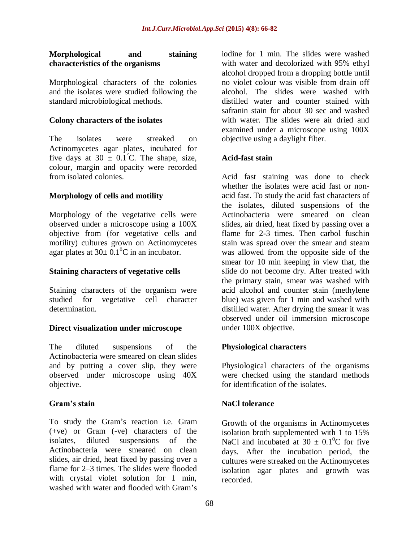### **Morphological and staining characteristics of the organisms**

Morphological characters of the colonies and the isolates were studied following the standard microbiological methods.

#### **Colony characters of the isolates**

The isolates were streaked on Actinomycetes agar plates, incubated for five days at  $30 \pm 0.1^{\circ}$ C. The shape, size, colour, margin and opacity were recorded from isolated colonies.

### **Morphology of cells and motility**

Morphology of the vegetative cells were observed under a microscope using a 100X objective from (for vegetative cells and motility) cultures grown on Actinomycetes agar plates at  $30 \pm 0.1^{\circ}$ C in an incubator.

#### **Staining characters of vegetative cells**

Staining characters of the organism were studied for vegetative cell character determination.

#### **Direct visualization under microscope**

The diluted suspensions of the Actinobacteria were smeared on clean slides and by putting a cover slip, they were observed under microscope using 40X objective.

### **Gram's stain**

To study the Gram's reaction i.e. Gram (+ve) or Gram (-ve) characters of the isolates, diluted suspensions of the Actinobacteria were smeared on clean slides, air dried, heat fixed by passing over a flame for 2–3 times. The slides were flooded with crystal violet solution for 1 min, washed with water and flooded with Gram's

iodine for 1 min. The slides were washed with water and decolorized with 95% ethyl alcohol dropped from a dropping bottle until no violet colour was visible from drain off alcohol. The slides were washed with distilled water and counter stained with safranin stain for about 30 sec and washed with water. The slides were air dried and examined under a microscope using 100X objective using a daylight filter.

#### **Acid-fast stain**

Acid fast staining was done to check whether the isolates were acid fast or nonacid fast. To study the acid fast characters of the isolates, diluted suspensions of the Actinobacteria were smeared on clean slides, air dried, heat fixed by passing over a flame for 2-3 times. Then carbol fuschin stain was spread over the smear and steam was allowed from the opposite side of the smear for 10 min keeping in view that, the slide do not become dry. After treated with the primary stain, smear was washed with acid alcohol and counter stain (methylene blue) was given for 1 min and washed with distilled water. After drying the smear it was observed under oil immersion microscope under 100X objective.

### **Physiological characters**

Physiological characters of the organisms were checked using the standard methods for identification of the isolates.

### **NaCl tolerance**

Growth of the organisms in Actinomycetes isolation broth supplemented with 1 to 15% NaCl and incubated at  $30 \pm 0.1^0C$  for five days. After the incubation period, the cultures were streaked on the Actinomycetes isolation agar plates and growth was recorded.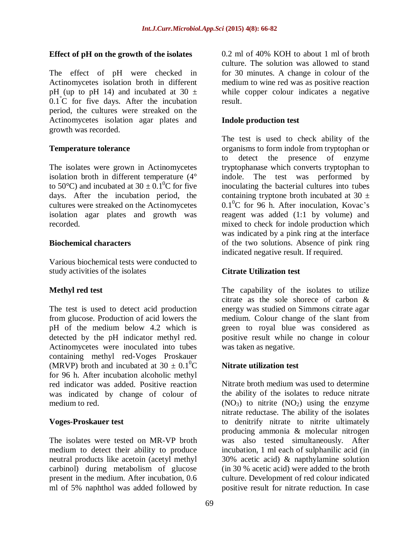### **Effect of pH on the growth of the isolates**

The effect of pH were checked in Actinomycetes isolation broth in different pH (up to pH 14) and incubated at 30  $\pm$ 0.1°C for five days. After the incubation period, the cultures were streaked on the Actinomycetes isolation agar plates and growth was recorded.

### **Temperature tolerance**

The isolates were grown in Actinomycetes isolation broth in different temperature (4° to 50 $^{\circ}$ C) and incubated at 30  $\pm$  0.1<sup>0</sup>C for five days. After the incubation period, the cultures were streaked on the Actinomycetes isolation agar plates and growth was recorded.

### **Biochemical characters**

Various biochemical tests were conducted to study activities of the isolates

## **Methyl red test**

The test is used to detect acid production from glucose. Production of acid lowers the pH of the medium below 4.2 which is detected by the pH indicator methyl red. Actinomycetes were inoculated into tubes containing methyl red-Voges Proskauer (MRVP) broth and incubated at  $30 \pm 0.1^0C$ for 96 h. After incubation alcoholic methyl red indicator was added. Positive reaction was indicated by change of colour of medium to red.

### **Voges-Proskauer test**

The isolates were tested on MR-VP broth medium to detect their ability to produce neutral products like acetoin (acetyl methyl carbinol) during metabolism of glucose present in the medium. After incubation, 0.6 ml of 5% naphthol was added followed by

0.2 ml of 40% KOH to about 1 ml of broth culture. The solution was allowed to stand for 30 minutes. A change in colour of the medium to wine red was as positive reaction while copper colour indicates a negative result.

### **Indole production test**

The test is used to check ability of the organisms to form indole from tryptophan or to detect the presence of enzyme tryptophanase which converts tryptophan to indole. The test was performed by inoculating the bacterial cultures into tubes containing tryptone broth incubated at 30  $\pm$  $0.1<sup>0</sup>C$  for 96 h. After inoculation, Kovac's reagent was added (1:1 by volume) and mixed to check for indole production which was indicated by a pink ring at the interface of the two solutions. Absence of pink ring indicated negative result. If required.

### **Citrate Utilization test**

The capability of the isolates to utilize citrate as the sole shorece of carbon & energy was studied on Simmons citrate agar medium. Colour change of the slant from green to royal blue was considered as positive result while no change in colour was taken as negative.

## **Nitrate utilization test**

Nitrate broth medium was used to determine the ability of the isolates to reduce nitrate  $(NO<sub>3</sub>)$  to nitrite  $(NO<sub>2</sub>)$  using the enzyme nitrate reductase. The ability of the isolates to denitrify nitrate to nitrite ultimately producing ammonia & molecular nitrogen was also tested simultaneously. After incubation, 1 ml each of sulphanilic acid (in 30% acetic acid) & napthylamine solution (in 30 % acetic acid) were added to the broth culture. Development of red colour indicated positive result for nitrate reduction. In case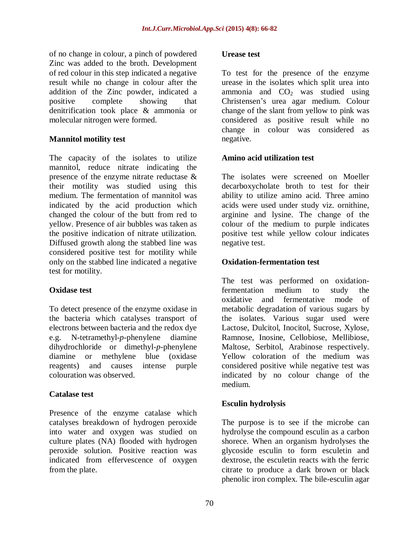of no change in colour, a pinch of powdered Zinc was added to the broth. Development of red colour in this step indicated a negative result while no change in colour after the addition of the Zinc powder, indicated a positive complete showing that denitrification took place & ammonia or molecular nitrogen were formed.

### **Mannitol motility test**

The capacity of the isolates to utilize mannitol, reduce nitrate indicating the presence of the enzyme nitrate reductase & their motility was studied using this medium. The fermentation of mannitol was indicated by the acid production which changed the colour of the butt from red to yellow. Presence of air bubbles was taken as the positive indication of nitrate utilization. Diffused growth along the stabbed line was considered positive test for motility while only on the stabbed line indicated a negative test for motility.

### **Oxidase test**

To detect presence of the enzyme oxidase in the bacteria which catalyses transport of electrons between bacteria and the redox dye e.g. N-tetramethyl-*p-*phenylene diamine dihydrochloride or dimethyl-*p*-phenylene diamine or methylene blue (oxidase reagents) and causes intense purple colouration was observed.

### **Catalase test**

Presence of the enzyme catalase which catalyses breakdown of hydrogen peroxide into water and oxygen was studied on culture plates (NA) flooded with hydrogen peroxide solution. Positive reaction was indicated from effervescence of oxygen from the plate.

#### **Urease test**

To test for the presence of the enzyme urease in the isolates which split urea into ammonia and  $CO<sub>2</sub>$  was studied using Christensen's urea agar medium. Colour change of the slant from yellow to pink was considered as positive result while no change in colour was considered as negative.

### **Amino acid utilization test**

The isolates were screened on Moeller decarboxycholate broth to test for their ability to utilize amino acid. Three amino acids were used under study viz. ornithine, arginine and lysine. The change of the colour of the medium to purple indicates positive test while yellow colour indicates negative test.

#### **Oxidation-fermentation test**

The test was performed on oxidationfermentation medium to study the oxidative and fermentative mode of metabolic degradation of various sugars by the isolates. Various sugar used were Lactose, Dulcitol, Inocitol, Sucrose, Xylose, Ramnose, Inosine, Cellobiose, Mellibiose, Maltose, Serbitol, Arabinose respectively. Yellow coloration of the medium was considered positive while negative test was indicated by no colour change of the medium.

### **Esculin hydrolysis**

The purpose is to see if the microbe can hydrolyse the compound esculin as a carbon shorece. When an organism hydrolyses the glycoside esculin to form esculetin and dextrose, the esculetin reacts with the ferric citrate to produce a dark brown or black phenolic iron complex. The bile-esculin agar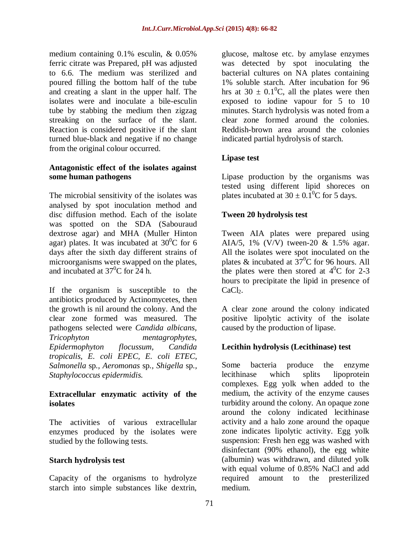medium containing 0.1% esculin, & 0.05% ferric citrate was Prepared, pH was adjusted to 6.6. The medium was sterilized and poured filling the bottom half of the tube and creating a slant in the upper half. The isolates were and inoculate a bile-esculin tube by stabbing the medium then zigzag streaking on the surface of the slant. Reaction is considered positive if the slant turned blue-black and negative if no change from the original colour occurred.

#### **Antagonistic effect of the isolates against some human pathogens**

The microbial sensitivity of the isolates was analysed by spot inoculation method and disc diffusion method. Each of the isolate was spotted on the SDA (Sabouraud dextrose agar) and MHA (Muller Hinton agar) plates. It was incubated at  $30^{\circ}$ C for 6 days after the sixth day different strains of microorganisms were swapped on the plates, and incubated at  $37^{\circ}$ C for 24 h.

If the organism is susceptible to the antibiotics produced by Actinomycetes, then the growth is nil around the colony. And the clear zone formed was measured. The pathogens selected were *Candida albicans, Tricophyton mentagrophytes, Epidermophyton flocussum, Candida tropicalis, E. coli EPEC, E. coli ETEC, Salmonella* sp*., Aeromonas* sp*., Shigella* sp*., Staphylococcus epidermidis.*

### **Extracellular enzymatic activity of the isolates**

The activities of various extracellular enzymes produced by the isolates were studied by the following tests.

## **Starch hydrolysis test**

Capacity of the organisms to hydrolyze starch into simple substances like dextrin, glucose, maltose etc. by amylase enzymes was detected by spot inoculating the bacterial cultures on NA plates containing 1% soluble starch. After incubation for 96 hrs at 30  $\pm$  0.1<sup>0</sup>C, all the plates were then exposed to iodine vapour for 5 to 10 minutes. Starch hydrolysis was noted from a clear zone formed around the colonies. Reddish-brown area around the colonies indicated partial hydrolysis of starch.

### **Lipase test**

Lipase production by the organisms was tested using different lipid shoreces on plates incubated at  $30 \pm 0.1^0$ C for 5 days.

### **Tween 20 hydrolysis test**

Tween AIA plates were prepared using AIA/5, 1% (V/V) tween-20 & 1.5% agar. All the isolates were spot inoculated on the plates & incubated at  $37^{\circ}$ C for 96 hours. All the plates were then stored at  $4^0C$  for 2-3 hours to precipitate the lipid in presence of CaCl<sub>2</sub>.

A clear zone around the colony indicated positive lipolytic activity of the isolate caused by the production of lipase.

### **Lecithin hydrolysis (Lecithinase) test**

Some bacteria produce the enzyme lecithinase which splits lipoprotein complexes. Egg yolk when added to the medium, the activity of the enzyme causes turbidity around the colony. An opaque zone around the colony indicated lecithinase activity and a halo zone around the opaque zone indicates lipolytic activity. Egg yolk suspension: Fresh hen egg was washed with disinfectant (90% ethanol), the egg white (albumin) was withdrawn, and diluted yolk with equal volume of 0.85% NaCl and add required amount to the presterilized medium.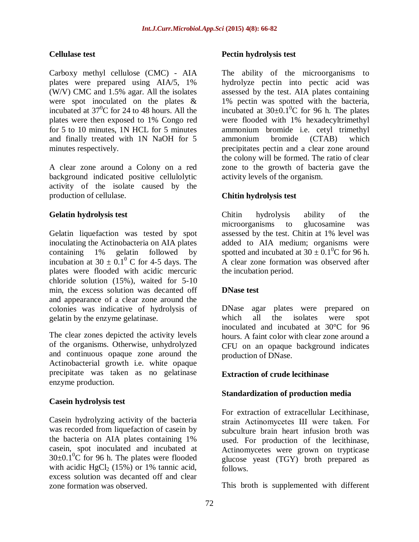### **Cellulase test**

Carboxy methyl cellulose (CMC) - AIA plates were prepared using AIA/5, 1% (W/V) CMC and 1.5% agar. All the isolates were spot inoculated on the plates & incubated at  $37^{\circ}$ C for 24 to 48 hours. All the plates were then exposed to 1% Congo red for 5 to 10 minutes, 1N HCL for 5 minutes and finally treated with 1N NaOH for 5 minutes respectively.

A clear zone around a Colony on a red background indicated positive cellulolytic activity of the isolate caused by the production of cellulase.

### **Gelatin hydrolysis test**

Gelatin liquefaction was tested by spot inoculating the Actinobacteria on AIA plates containing 1% gelatin followed by incubation at  $30 \pm 0.1^{\circ}$  C for 4-5 days. The plates were flooded with acidic mercuric chloride solution (15%), waited for 5-10 min, the excess solution was decanted off and appearance of a clear zone around the colonies was indicative of hydrolysis of gelatin by the enzyme gelatinase.

The clear zones depicted the activity levels of the organisms. Otherwise, unhydrolyzed and continuous opaque zone around the Actinobacterial growth i.e. white opaque precipitate was taken as no gelatinase enzyme production.

## **Casein hydrolysis test**

Casein hydrolyzing activity of the bacteria was recorded from liquefaction of casein by the bacteria on AIA plates containing 1% casein, spot inoculated and incubated at  $30\pm0.1^0C$  for 96 h. The plates were flooded with acidic HgCl<sub>2</sub> (15%) or 1% tannic acid, excess solution was decanted off and clear zone formation was observed.

### **Pectin hydrolysis test**

The ability of the microorganisms to hydrolyze pectin into pectic acid was assessed by the test. AIA plates containing 1% pectin was spotted with the bacteria, incubated at  $30\pm0.1^{\circ}$ C for 96 h. The plates were flooded with 1% hexadecyltrimethyl ammonium bromide i.e. cetyl trimethyl ammonium bromide (CTAB) which precipitates pectin and a clear zone around the colony will be formed. The ratio of clear zone to the growth of bacteria gave the activity levels of the organism.

### **Chitin hydrolysis test**

Chitin hydrolysis ability of the microorganisms to glucosamine was assessed by the test. Chitin at 1% level was added to AIA medium; organisms were spotted and incubated at  $30 \pm 0.1^{\circ}$ C for 96 h. A clear zone formation was observed after the incubation period.

### **DNase test**

DNase agar plates were prepared on which all the isolates were spot inoculated and incubated at 30°C for 96 hours. A faint color with clear zone around a CFU on an opaque background indicates production of DNase.

### **Extraction of crude lecithinase**

### **Standardization of production media**

For extraction of extracellular Lecithinase, strain Actinomycetes Ш were taken. For subculture brain heart infusion broth was used. For production of the lecithinase, Actinomycetes were grown on trypticase glucose yeast (TGY) broth prepared as follows.

This broth is supplemented with different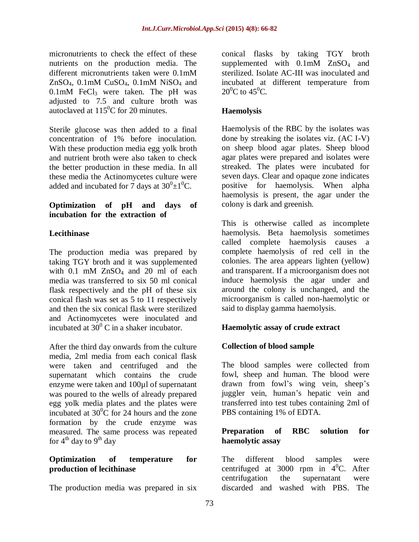micronutrients to check the effect of these nutrients on the production media. The different micronutrients taken were 0.1mM ZnSO<sub>4</sub>,  $0.1$ mM CuSO<sub>4</sub>,  $0.1$ mM NiSO<sub>4</sub> and  $0.1$ mM FeCl<sub>3</sub> were taken. The pH was adjusted to 7.5 and culture broth was autoclaved at  $115^{\circ}$ C for 20 minutes.

Sterile glucose was then added to a final concentration of 1% before inoculation. With these production media egg yolk broth and nutrient broth were also taken to check the better production in these media. In all these media the Actinomycetes culture were added and incubated for 7 days at  $30^0 \pm 1^0$ C.

#### **Optimization of pH and days of incubation for the extraction of**

### **Lecithinase**

The production media was prepared by taking TGY broth and it was supplemented with  $0.1$  mM  $ZnSO<sub>4</sub>$  and  $20$  ml of each media was transferred to six 50 ml conical flask respectively and the pH of these six conical flash was set as 5 to 11 respectively and then the six conical flask were sterilized and Actinomycetes were inoculated and incubated at  $30^{\circ}$  C in a shaker incubator.

After the third day onwards from the culture media, 2ml media from each conical flask were taken and centrifuged and the supernatant which contains the crude enzyme were taken and 100µl of supernatant was poured to the wells of already prepared egg yolk media plates and the plates were incubated at  $30^0$ C for 24 hours and the zone formation by the crude enzyme was measured. The same process was repeated for  $4<sup>th</sup>$  day to  $9<sup>th</sup>$  day

### **Optimization of temperature for production of lecithinase**

The production media was prepared in six

conical flasks by taking TGY broth supplemented with  $0.1$ mM  $ZnSO<sub>4</sub>$  and sterilized. Isolate AC-III was inoculated and incubated at different temperature from  $20^0C$  to 45<sup>0</sup>C.

## **Haemolysis**

Haemolysis of the RBC by the isolates was done by streaking the isolates viz. (AC I-V) on sheep blood agar plates. Sheep blood agar plates were prepared and isolates were streaked. The plates were incubated for seven days. Clear and opaque zone indicates positive for haemolysis. When alpha haemolysis is present, the agar under the colony is dark and greenish.

This is otherwise called as incomplete haemolysis. Beta haemolysis sometimes called complete haemolysis causes a complete haemolysis of red cell in the colonies. The area appears lighten (yellow) and transparent. If a microorganism does not induce haemolysis the agar under and around the colony is unchanged, and the microorganism is called non-haemolytic or said to display gamma haemolysis.

## **Haemolytic assay of crude extract**

### **Collection of blood sample**

The blood samples were collected from fowl, sheep and human. The blood were drawn from fowl's wing vein, sheep's juggler vein, human's hepatic vein and transferred into test tubes containing 2ml of PBS containing 1% of EDTA.

### **Preparation of RBC solution for haemolytic assay**

The different blood samples were centrifuged at 3000 rpm in  $4^{\circ}$ C. After centrifugation the supernatant were discarded and washed with PBS. The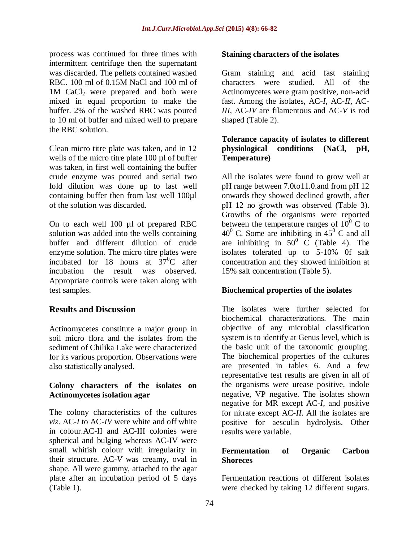process was continued for three times with intermittent centrifuge then the supernatant was discarded. The pellets contained washed RBC. 100 ml of 0.15M NaCl and 100 ml of 1M CaCl<sub>2</sub> were prepared and both were mixed in equal proportion to make the buffer. 2% of the washed RBC was poured to 10 ml of buffer and mixed well to prepare the RBC solution.

Clean micro titre plate was taken, and in 12 wells of the micro titre plate 100 µl of buffer was taken, in first well containing the buffer crude enzyme was poured and serial two fold dilution was done up to last well containing buffer then from last well 100µl of the solution was discarded.

On to each well 100 µl of prepared RBC solution was added into the wells containing buffer and different dilution of crude enzyme solution. The micro titre plates were incubated for 18 hours at  $37^{\circ}$ C after incubation the result was observed. Appropriate controls were taken along with test samples.

## **Results and Discussion**

Actinomycetes constitute a major group in soil micro flora and the isolates from the sediment of Chilika Lake were characterized for its various proportion. Observations were also statistically analysed.

### **Colony characters of the isolates on Actinomycetes isolation agar**

The colony characteristics of the cultures *viz*. AC-*I* to AC-*IV* were white and off white in colour.AC-II and AC-III colonies were spherical and bulging whereas AC-IV were small whitish colour with irregularity in their structure. AC-*V* was creamy, oval in shape. All were gummy, attached to the agar plate after an incubation period of 5 days (Table 1).

### **Staining characters of the isolates**

Gram staining and acid fast staining characters were studied. All of the Actinomycetes were gram positive, non-acid fast. Among the isolates, AC*-I*, AC-*II*, AC-*III*, AC-*IV* are filamentous and AC-*V* is rod shaped (Table 2).

### **Tolerance capacity of isolates to different physiological conditions (NaCl, pH, Temperature)**

All the isolates were found to grow well at pH range between 7.0to11.0.and from pH 12 onwards they showed declined growth, after pH 12 no growth was observed (Table 3). Growths of the organisms were reported between the temperature ranges of  $10^{\overline{0}}$  C to  $40^{\circ}$  C. Some are inhibiting in  $45^{\circ}$  C and all are inhibiting in  $50^{\circ}$  C (Table 4). The isolates tolerated up to 5-10% 0f salt concentration and they showed inhibition at 15% salt concentration (Table 5).

### **Biochemical properties of the isolates**

The isolates were further selected for biochemical characterizations. The main objective of any microbial classification system is to identify at Genus level, which is the basic unit of the taxonomic grouping. The biochemical properties of the cultures are presented in tables 6. And a few representative test results are given in all of the organisms were urease positive, indole negative, VP negative. The isolates shown negative for MR except AC*-I*, and positive for nitrate except AC-*II*. All the isolates are positive for aesculin hydrolysis. Other results were variable.

#### **Fermentation of Organic Carbon Shoreces**

Fermentation reactions of different isolates were checked by taking 12 different sugars.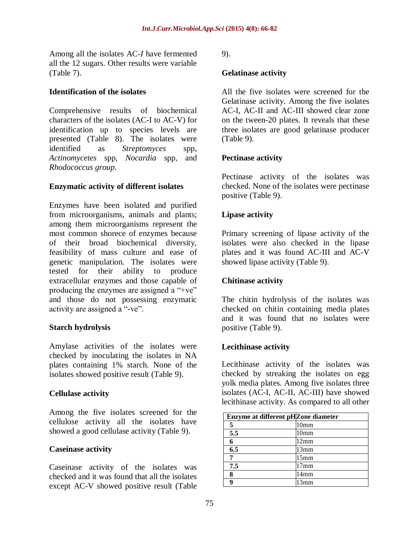Among all the isolates AC*-I* have fermented all the 12 sugars. Other results were variable (Table 7).

#### **Identification of the isolates**

Comprehensive results of biochemical characters of the isolates (AC-I to AC-V) for identification up to species levels are presented (Table 8). The isolates were identified as *Streptomyces* spp*, Actinomycetes* spp*, Nocardia* spp, and *Rhodococcus group*.

### **Enzymatic activity of different isolates**

Enzymes have been isolated and purified from microorganisms, animals and plants; among them microorganisms represent the most common shorece of enzymes because of their broad biochemical diversity, feasibility of mass culture and ease of genetic manipulation. The isolates were tested for their ability to produce extracellular enzymes and those capable of producing the enzymes are assigned a "+ve" and those do not possessing enzymatic activity are assigned a "-ve".

### **Starch hydrolysis**

Amylase activities of the isolates were checked by inoculating the isolates in NA plates containing 1% starch. None of the isolates showed positive result (Table 9).

### **Cellulase activity**

Among the five isolates screened for the cellulose activity all the isolates have showed a good cellulase activity (Table 9).

### **Caseinase activity**

Caseinase activity of the isolates was checked and it was found that all the isolates except AC-V showed positive result (Table 9).

#### **Gelatinase activity**

All the five isolates were screened for the Gelatinase activity. Among the five isolates AC-I, AC-II and AC-III showed clear zone on the tween-20 plates. It reveals that these three isolates are good gelatinase producer (Table 9).

#### **Pectinase activity**

Pectinase activity of the isolates was checked. None of the isolates were pectinase positive (Table 9).

### **Lipase activity**

Primary screening of lipase activity of the isolates were also checked in the lipase plates and it was found AC-III and AC-V showed lipase activity (Table 9).

### **Chitinase activity**

The chitin hydrolysis of the isolates was checked on chitin containing media plates and it was found that no isolates were positive (Table 9).

### **Lecithinase activity**

Lecithinase activity of the isolates was checked by streaking the isolates on egg yolk media plates. Among five isolates three isolates (AC-I, AC-II, AC-III) have showed lecithinase activity. As compared to all other

| Enzyme at different pHZone diameter |                  |
|-------------------------------------|------------------|
|                                     | 10mm             |
| 5.5                                 | 10 <sub>mm</sub> |
| 6                                   | 12mm             |
| 6.5                                 | 13mm             |
|                                     | 15 <sub>mm</sub> |
| 7.5                                 | 17 <sub>mm</sub> |
| 8                                   | 14 <sub>mm</sub> |
| Q                                   | 2mm              |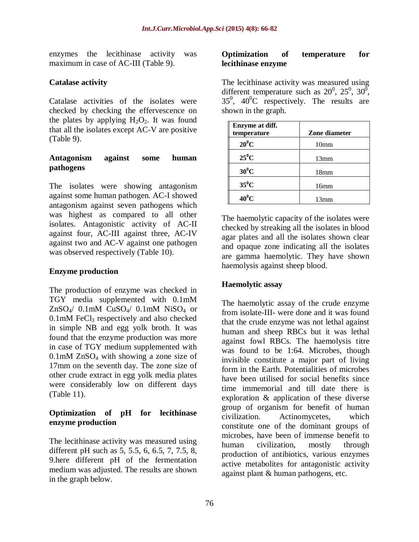enzymes the lecithinase activity was maximum in case of AC-III (Table 9).

### **Catalase activity**

Catalase activities of the isolates were checked by checking the effervescence on the plates by applying  $H_2O_2$ . It was found that all the isolates except AC-V are positive (Table 9).

### **Antagonism against some human pathogens**

The isolates were showing antagonism against some human pathogen. AC-I showed antagonism against seven pathogens which was highest as compared to all other isolates. Antagonistic activity of AC-II against four, AC-III against three, AC-IV against two and AC-V against one pathogen was observed respectively (Table 10).

### **Enzyme production**

The production of enzyme was checked in TGY media supplemented with 0.1mM ZnSO4/ 0.1mM CuSO4/ 0.1mM NiSO<sup>4</sup> or  $0.1$ mM FeCl<sub>3</sub> respectively and also checked in simple NB and egg yolk broth. It was found that the enzyme production was more in case of TGY medium supplemented with 0.1mM ZnSO<sup>4</sup> with showing a zone size of 17mm on the seventh day. The zone size of other crude extract in egg yolk media plates were considerably low on different days (Table 11).

#### **Optimization of pH for lecithinase enzyme production**

The lecithinase activity was measured using different pH such as 5, 5.5, 6, 6.5, 7, 7.5, 8, 9.here different pH of the fermentation medium was adjusted. The results are shown in the graph below.

#### **Optimization of temperature for lecithinase enzyme**

The lecithinase activity was measured using different temperature such as  $20^0$ ,  $25^0$ ,  $30^0$ ,  $35^0$ ,  $40^0$ C respectively. The results are shown in the graph.

| Enzyme at diff.<br>temperature | Zone diameter    |
|--------------------------------|------------------|
| $20^0C$                        | 10 <sub>mm</sub> |
| $25^0C$                        | 13mm             |
| $30^0C$                        | 18 <sub>mm</sub> |
| $35^0$ C                       | 16mm             |
| $40^0$ C                       | 13mm             |

The haemolytic capacity of the isolates were checked by streaking all the isolates in blood agar plates and all the isolates shown clear and opaque zone indicating all the isolates are gamma haemolytic. They have shown haemolysis against sheep blood.

## **Haemolytic assay**

The haemolytic assay of the crude enzyme from isolate-III- were done and it was found that the crude enzyme was not lethal against human and sheep RBCs but it was lethal against fowl RBCs. The haemolysis titre was found to be 1:64. Microbes, though invisible constitute a major part of living form in the Earth. Potentialities of microbes have been utilised for social benefits since time immemorial and till date there is exploration & application of these diverse group of organism for benefit of human civilization. Actinomycetes, which constitute one of the dominant groups of microbes, have been of immense benefit to human civilization, mostly through production of antibiotics, various enzymes active metabolites for antagonistic activity against plant & human pathogens, etc.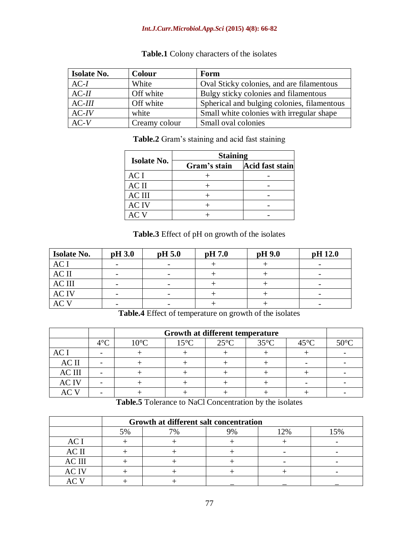#### *Int.J.Curr.Microbiol.App.Sci* **(2015) 4(8): 66-82**

| <b>Isolate No.</b> | Colour        | Form                                        |
|--------------------|---------------|---------------------------------------------|
| $AC-I$             | White         | Oval Sticky colonies, and are filamentous   |
| $AC-II$            | Off white     | Bulgy sticky colonies and filamentous       |
| $AC$ - $III$       | Off white     | Spherical and bulging colonies, filamentous |
| $AC-IV$            | white         | Small white colonies with irregular shape   |
| $AC-V$             | Creamy colour | Small oval colonies                         |

**Table.1** Colony characters of the isolates

**Table.2** Gram's staining and acid fast staining

|                    | <b>Staining</b> |                 |  |  |  |  |  |  |  |
|--------------------|-----------------|-----------------|--|--|--|--|--|--|--|
| <b>Isolate No.</b> | Gram's stain    | Acid fast stain |  |  |  |  |  |  |  |
| AC I               |                 |                 |  |  |  |  |  |  |  |
| AC II              |                 |                 |  |  |  |  |  |  |  |
| <b>AC III</b>      |                 |                 |  |  |  |  |  |  |  |
| AC IV              |                 |                 |  |  |  |  |  |  |  |
|                    |                 |                 |  |  |  |  |  |  |  |

**Table.3** Effect of pH on growth of the isolates

| <b>Isolate No.</b> | pH 3.0                   | pH 5.0                   | pH 7.0 | $pH$ 9.0 | pH 12.0                  |
|--------------------|--------------------------|--------------------------|--------|----------|--------------------------|
| AC I               |                          | $\overline{\phantom{0}}$ |        |          |                          |
| AC II              |                          | $\overline{\phantom{0}}$ |        |          | $\overline{\phantom{0}}$ |
| <b>AC III</b>      | $\overline{\phantom{0}}$ | $\overline{\phantom{a}}$ |        |          | $\overline{\phantom{a}}$ |
| <b>AC IV</b>       | $\overline{\phantom{0}}$ | $\overline{\phantom{a}}$ |        |          | $\overline{\phantom{a}}$ |
|                    |                          |                          |        |          |                          |

**Table.4** Effect of temperature on growth of the isolates

|               |               |                | Growth at different temperature |                |                |                |                |  |  |  |  |  |  |  |
|---------------|---------------|----------------|---------------------------------|----------------|----------------|----------------|----------------|--|--|--|--|--|--|--|
|               | 10 $\epsilon$ | $10^{\circ}$ C | $15^{\circ}$ C                  | $25^{\circ}$ C | $35^{\circ}$ C | $45^{\circ}$ C | $50^{\circ}$ C |  |  |  |  |  |  |  |
| AC I          |               |                |                                 |                |                |                |                |  |  |  |  |  |  |  |
| AC II         |               |                |                                 |                |                |                |                |  |  |  |  |  |  |  |
| <b>AC III</b> |               |                |                                 |                |                |                |                |  |  |  |  |  |  |  |
| <b>ACIV</b>   |               |                |                                 |                |                |                |                |  |  |  |  |  |  |  |
|               |               |                |                                 |                |                |                |                |  |  |  |  |  |  |  |

**Table.5** Tolerance to NaCl Concentration by the isolates

|               |    | Growth at different salt concentration |  |       |    |  |  |  |  |  |  |  |
|---------------|----|----------------------------------------|--|-------|----|--|--|--|--|--|--|--|
|               | 5% |                                        |  | $2\%$ | 5% |  |  |  |  |  |  |  |
| AC            |    |                                        |  |       |    |  |  |  |  |  |  |  |
| AC II         |    |                                        |  |       |    |  |  |  |  |  |  |  |
| <b>AC III</b> |    |                                        |  |       |    |  |  |  |  |  |  |  |
| C IV          |    |                                        |  |       |    |  |  |  |  |  |  |  |
|               |    |                                        |  |       |    |  |  |  |  |  |  |  |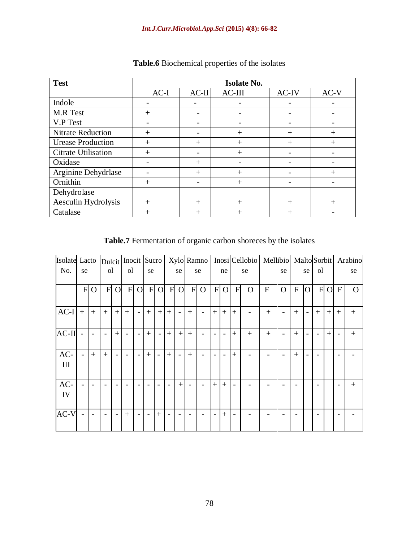| <b>Test</b>              | <b>Isolate No.</b> |                          |        |        |        |  |  |  |  |  |  |
|--------------------------|--------------------|--------------------------|--------|--------|--------|--|--|--|--|--|--|
|                          | $AC-I$             | $AC-II$                  | AC-III | AC-IV  | $AC-V$ |  |  |  |  |  |  |
| Indole                   |                    |                          |        |        |        |  |  |  |  |  |  |
| M.R Test                 | $^{+}$             | $\overline{\phantom{0}}$ |        |        |        |  |  |  |  |  |  |
| V.P Test                 |                    |                          |        |        |        |  |  |  |  |  |  |
| <b>Nitrate Reduction</b> | $^+$               |                          | $^{+}$ | $^{+}$ | $^+$   |  |  |  |  |  |  |
| <b>Urease Production</b> | $^{+}$             | $^{+}$                   | $+$    | $^{+}$ | $^{+}$ |  |  |  |  |  |  |
| Citrate Utilisation      | $^{+}$             |                          | $+$    |        |        |  |  |  |  |  |  |
| Oxidase                  |                    | $+$                      |        |        |        |  |  |  |  |  |  |
| Arginine Dehydrlase      |                    | $+$                      | $+$    |        | $^+$   |  |  |  |  |  |  |
| Ornithin                 | $^{+}$             |                          | $+$    |        |        |  |  |  |  |  |  |
| Dehydrolase              |                    |                          |        |        |        |  |  |  |  |  |  |
| Aesculin Hydrolysis      | $^{+}$             | $+$                      | $+$    | $+$    | $^+$   |  |  |  |  |  |  |
| Catalase                 | $^+$               | $^{+}$                   | $^{+}$ | $^{+}$ |        |  |  |  |  |  |  |

### **Table.6** Biochemical properties of the isolates

**Table.7** Fermentation of organic carbon shoreces by the isolates

| Isolate Lacto |              |                          |                          |                | Dulcit   Inocit   Sucro  |                          |           |                          |           |                 |        | Xylo Ramno               |        |                |                          | Inosi Cellobio   Mellibio   Malto Sorbit |             |                          |              |                          |                |                |              | Arabino  |
|---------------|--------------|--------------------------|--------------------------|----------------|--------------------------|--------------------------|-----------|--------------------------|-----------|-----------------|--------|--------------------------|--------|----------------|--------------------------|------------------------------------------|-------------|--------------------------|--------------|--------------------------|----------------|----------------|--------------|----------|
| No.           | se           |                          | <sub>o</sub>             |                | <sub>o</sub> l           |                          | se        |                          |           | se              |        | se                       |        | ne             |                          | se                                       |             | se                       |              | se                       | <sub>o</sub> l |                |              | se       |
|               | $\mathbf{F}$ | $\overline{O}$           | $F_{\rm}$                | $\overline{O}$ | F                        | $\overline{O}$           | $F_{\rm}$ | $\overline{O}$           | $F_{\rm}$ | $\overline{O}$  | F      | $\Omega$                 | F      | $\overline{O}$ | $\mathbf{F}$             | $\Omega$                                 | $\mathbf F$ | $\overline{O}$           | $\mathbf{F}$ | $\overline{O}$           | F              | $\overline{O}$ | $\mathbf{F}$ | $\Omega$ |
| $AC-I$        | $+$          | $+$                      | $+$                      | $+$            | $+$                      | $\overline{\phantom{a}}$ | $^{+}$    | $+$                      | $^{+}$    | $\blacksquare$  | $^{+}$ | $\blacksquare$           | $+$    | $+$            | $+$                      |                                          | $+$         |                          | $+$          | $\overline{\phantom{0}}$ | $+$            | $+$            | $+$          | $^{+}$   |
| $AC-II$       |              | $\overline{\phantom{0}}$ | $\overline{\phantom{0}}$ | $+$            |                          | $\blacksquare$           | $+$       | $\overline{\phantom{a}}$ | $+$       | $+1$            | $+$    |                          |        |                | $+$                      | $+$                                      | $+$         | $\overline{\phantom{a}}$ | $+$          |                          |                | $+$            |              | $^{+}$   |
| AC-<br>III    |              | $+$                      | $+$                      |                | $\overline{\phantom{0}}$ | $\blacksquare$           | $+$       | $\overline{\phantom{0}}$ | $^{+}$    | $\sim$          | $^{+}$ | $\blacksquare$           |        |                | $+$                      |                                          |             |                          | $+$          |                          |                |                |              |          |
| AC-<br>IV     |              | $\overline{\phantom{0}}$ |                          |                |                          | $\overline{\phantom{a}}$ |           | $\overline{\phantom{a}}$ |           | $+$             |        | $\overline{\phantom{0}}$ | $^{+}$ | $+$            | $\overline{\phantom{0}}$ |                                          |             | $\overline{\phantom{0}}$ |              |                          |                |                |              | $^{+}$   |
| $AC-V$        |              |                          |                          |                | $^{+}$                   | $\blacksquare$           |           | $+$                      |           | $\qquad \qquad$ |        |                          |        | $^{+}$         |                          |                                          |             |                          |              |                          |                |                |              |          |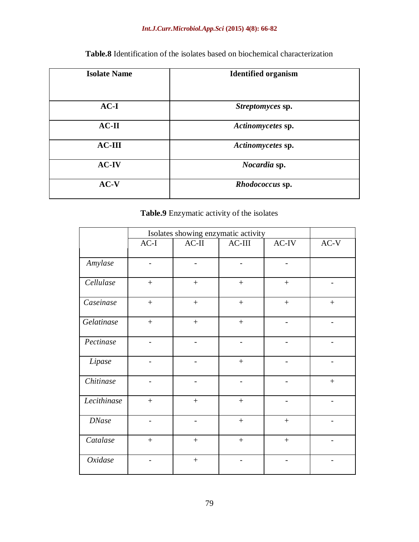## *Int.J.Curr.Microbiol.App.Sci* **(2015) 4(8): 66-82**

| <b>Isolate Name</b> | <b>Identified organism</b> |
|---------------------|----------------------------|
| $AC-I$              | Streptomyces sp.           |
| $AC-II$             | Actinomycetes sp.          |
| $AC-III$            | Actinomycetes sp.          |
| <b>AC-IV</b>        | Nocardia sp.               |
| $AC-V$              | Rhodococcus sp.            |

**Table.8** Identification of the isolates based on biochemical characterization

# **Table.9** Enzymatic activity of the isolates

|              |                          | Isolates showing enzymatic activity |                          |                              |                              |
|--------------|--------------------------|-------------------------------------|--------------------------|------------------------------|------------------------------|
|              | $AC-I$                   | $AC-II$                             | $AC-III$                 | $AC-IV$                      | $AC-V$                       |
| Amylase      | $\overline{a}$           |                                     |                          |                              |                              |
| Cellulase    | $+$                      | $\ddot{}$                           | $+$                      | $+$                          |                              |
| Caseinase    | $\ddot{}$                | $^{+}$                              |                          | $\ddot{}$                    | $^{+}$                       |
| Gelatinase   | $+$                      | $^{+}$                              | $+$                      |                              |                              |
| Pectinase    | $\overline{a}$           | $\overline{\phantom{0}}$            |                          |                              |                              |
| Lipase       | $\overline{a}$           | -                                   | $+$                      | -                            | $\qquad \qquad \blacksquare$ |
| Chitinase    | $\overline{\phantom{0}}$ | $\overline{\phantom{0}}$            | $\overline{\phantom{a}}$ | $\overline{a}$               |                              |
| Lecithinase  | $+$                      | $^{+}$                              | $+$                      | $\overline{a}$               | $\blacksquare$               |
| <b>DNase</b> | $\overline{\phantom{0}}$ | -                                   |                          | $^{+}$                       | $\overline{\phantom{0}}$     |
| Catalase     | $+$                      | $^{+}$                              |                          | $+$                          |                              |
| Oxidase      | $\overline{\phantom{a}}$ |                                     | $\overline{\phantom{a}}$ | $\qquad \qquad \blacksquare$ |                              |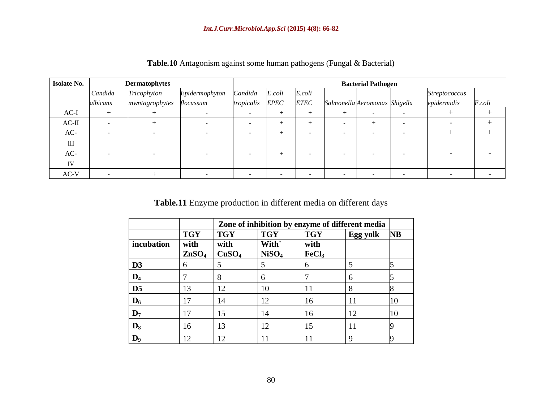| <b>Isolate No.</b> |          | <b>Dermatophytes</b> |                           | <b>Bacterial Pathogen</b> |             |                          |                          |                               |  |               |        |
|--------------------|----------|----------------------|---------------------------|---------------------------|-------------|--------------------------|--------------------------|-------------------------------|--|---------------|--------|
|                    | Candida  | Tricophyton          | Candida<br>Epidermophyton |                           | E.coli      | E.coli                   |                          |                               |  | Streptococcus |        |
|                    | albicans | mwntagrophytes       | flocussum                 | tropicalis                | <b>EPEC</b> | <b>ETEC</b>              |                          | Salmonella Aeromonas Shigella |  | epidermidis   | E.coli |
| $AC-I$             |          |                      |                           |                           | $^+$        | $^{+}$                   | $^{+}$                   | $\sim$                        |  |               |        |
| $AC-II$            |          |                      |                           |                           |             | $^{+}$                   | $\overline{\phantom{0}}$ |                               |  |               |        |
| AC-                |          | -                    |                           | $\overline{\phantom{a}}$  |             | $\overline{\phantom{a}}$ | $\overline{\phantom{0}}$ | $\overline{\phantom{a}}$      |  |               |        |
| III                |          |                      |                           |                           |             |                          |                          |                               |  |               |        |
| AC-                |          |                      |                           |                           |             |                          | $\sim$                   |                               |  |               |        |
| IV                 |          |                      |                           |                           |             |                          |                          |                               |  |               |        |
| $AC-V$             |          |                      |                           |                           |             |                          |                          |                               |  |               |        |

**Table.10** Antagonism against some human pathogens (Fungal & Bacterial)

**Table.11** Enzyme production in different media on different days

|                |                   | Zone of inhibition by enzyme of different media |                   |                   |          |    |
|----------------|-------------------|-------------------------------------------------|-------------------|-------------------|----------|----|
|                | <b>TGY</b>        | <b>TGY</b>                                      | <b>TGY</b>        | <b>TGY</b>        | Egg yolk | NB |
| incubation     | with              | with                                            | With`             | with              |          |    |
|                | ZnSO <sub>4</sub> | CuSO <sub>4</sub>                               | NiSO <sub>4</sub> | FeCl <sub>3</sub> |          |    |
| D <sub>3</sub> | 6                 | 5                                               | 5                 | 6                 | 5        |    |
| $\mathbf{D}_4$ |                   | 8                                               | 6                 |                   | 6        |    |
| D <sub>5</sub> | 13                | 12                                              | 10                | 11                | 8        |    |
| $\mathbf{D}_6$ | 17                | 14                                              | 12                | 16                | 11       | 10 |
| $\mathbf{D}_7$ | 17                | 15                                              | 14                | 16                | 12       | 10 |
| $\mathbf{D}_8$ | 16                | 13                                              | 12                | 15                | 11       |    |
| D,             | 12                | 12                                              | 11                |                   | 9        |    |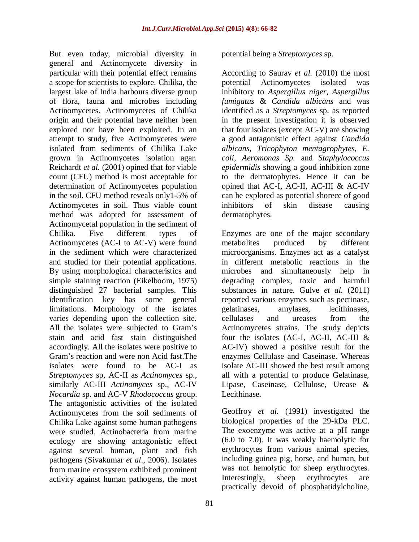But even today, microbial diversity in general and Actinomycete diversity in particular with their potential effect remains a scope for scientists to explore. Chilika, the largest lake of India harbours diverse group of flora, fauna and microbes including Actinomycetes. Actinomycetes of Chilika origin and their potential have neither been explored nor have been exploited. In an attempt to study, five Actinomycetes were isolated from sediments of Chilika Lake grown in Actinomycetes isolation agar. Reichardt *et al.* (2001) opined that for viable count (CFU) method is most acceptable for determination of Actinomycetes population in the soil. CFU method reveals only1-5% of Actinomycetes in soil. Thus viable count method was adopted for assessment of Actinomycetal population in the sediment of Chilika. Five different types of Actinomycetes (AC-I to AC-V) were found in the sediment which were characterized and studied for their potential applications. By using morphological characteristics and simple staining reaction (Eikelboom, 1975) distinguished 27 bacterial samples. This identification key has some general limitations. Morphology of the isolates varies depending upon the collection site. All the isolates were subjected to Gram's stain and acid fast stain distinguished accordingly. All the isolates were positive to Gram's reaction and were non Acid fast.The isolates were found to be AC-I as *Streptomyces* sp, AC-II as *Actinomyces* sp., similarly AC-III *Actinomyces* sp., AC-IV *Nocardia* sp. and AC-V *Rhodococcus* group. The antagonistic activities of the isolated Actinomycetes from the soil sediments of Chilika Lake against some human pathogens were studied. Actinobacteria from marine ecology are showing antagonistic effect against several human, plant and fish pathogens (Sivakumar *et al*., 2006). Isolates from marine ecosystem exhibited prominent activity against human pathogens, the most

potential being a *Streptomyces* sp.

According to Saurav *et al.* (2010) the most potential Actinomycetes isolated was inhibitory to *Aspergillus niger*, *Aspergillus fumigatus* & *Candida albicans* and was identified as a *Streptomyces* sp. as reported in the present investigation it is observed that four isolates (except AC-V) are showing a good antagonistic effect against *Candida albicans, Tricophyton mentagrophytes, E. coli, Aeromonas Sp.* and *Staphylococcus epidermidis* showing a good inhibition zone to the dermatophytes. Hence it can be opined that AC-I, AC-II, AC-III & AC-IV can be explored as potential shorece of good inhibitors of skin disease causing dermatophytes.

Enzymes are one of the major secondary metabolites produced by different microorganisms. Enzymes act as a catalyst in different metabolic reactions in the microbes and simultaneously help in degrading complex, toxic and harmful substances in nature. Gulve *et al.* (2011) reported various enzymes such as pectinase, gelatinases, amylases, lecithinases, cellulases and ureases from the Actinomycetes strains. The study depicts four the isolates (AC-I, AC-II, AC-III & AC-IV) showed a positive result for the enzymes Cellulase and Caseinase. Whereas isolate AC-III showed the best result among all with a potential to produce Gelatinase, Lipase, Caseinase, Cellulose, Urease & Lecithinase.

Geoffroy *et al.* (1991) investigated the biological properties of the 29-kDa PLC. The exoenzyme was active at a pH range (6.0 to 7.0). It was weakly haemolytic for erythrocytes from various animal species, including guinea pig, horse, and human, but was not hemolytic for sheep erythrocytes. Interestingly, sheep erythrocytes are practically devoid of phosphatidylcholine,